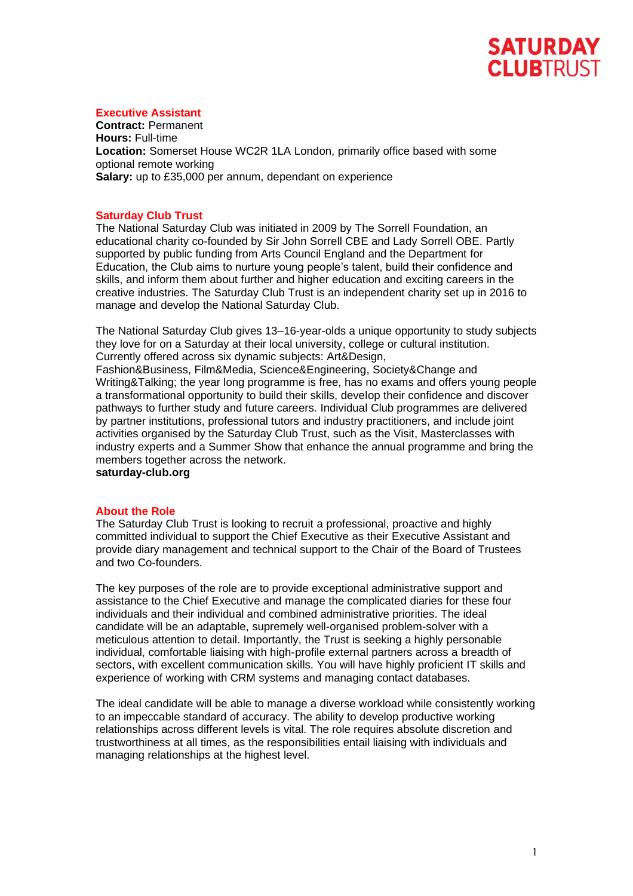# **SATURDAY CLUBTRUST**

## **Executive Assistant**

**Contract:** Permanent **Hours:** Full-time **Location:** Somerset House WC2R 1LA London, primarily office based with some optional remote working **Salary:** up to £35,000 per annum, dependant on experience

# **Saturday Club Trust**

The National Saturday Club was initiated in 2009 by The Sorrell Foundation, an educational charity co-founded by Sir John Sorrell CBE and Lady Sorrell OBE. Partly supported by public funding from Arts Council England and the Department for Education, the Club aims to nurture young people's talent, build their confidence and skills, and inform them about further and higher education and exciting careers in the creative industries. The Saturday Club Trust is an independent charity set up in 2016 to manage and develop the National Saturday Club.

The National Saturday Club gives 13–16-year-olds a unique opportunity to study subjects they love for on a Saturday at their local university, college or cultural institution. Currently offered across six dynamic subjects: Art&Design,

Fashion&Business, Film&Media, Science&Engineering, Society&Change and Writing&Talking; the year long programme is free, has no exams and offers young people a transformational opportunity to build their skills, develop their confidence and discover pathways to further study and future careers. Individual Club programmes are delivered by partner institutions, professional tutors and industry practitioners, and include joint activities organised by the Saturday Club Trust, such as the Visit, Masterclasses with industry experts and a Summer Show that enhance the annual programme and bring the members together across the network.

**saturday-club.org** 

## **About the Role**

The Saturday Club Trust is looking to recruit a professional, proactive and highly committed individual to support the Chief Executive as their Executive Assistant and provide diary management and technical support to the Chair of the Board of Trustees and two Co-founders.

The key purposes of the role are to provide exceptional administrative support and assistance to the Chief Executive and manage the complicated diaries for these four individuals and their individual and combined administrative priorities. The ideal candidate will be an adaptable, supremely well-organised problem-solver with a meticulous attention to detail. Importantly, the Trust is seeking a highly personable individual, comfortable liaising with high-profile external partners across a breadth of sectors, with excellent communication skills. You will have highly proficient IT skills and experience of working with CRM systems and managing contact databases.

The ideal candidate will be able to manage a diverse workload while consistently working to an impeccable standard of accuracy. The ability to develop productive working relationships across different levels is vital. The role requires absolute discretion and trustworthiness at all times, as the responsibilities entail liaising with individuals and managing relationships at the highest level.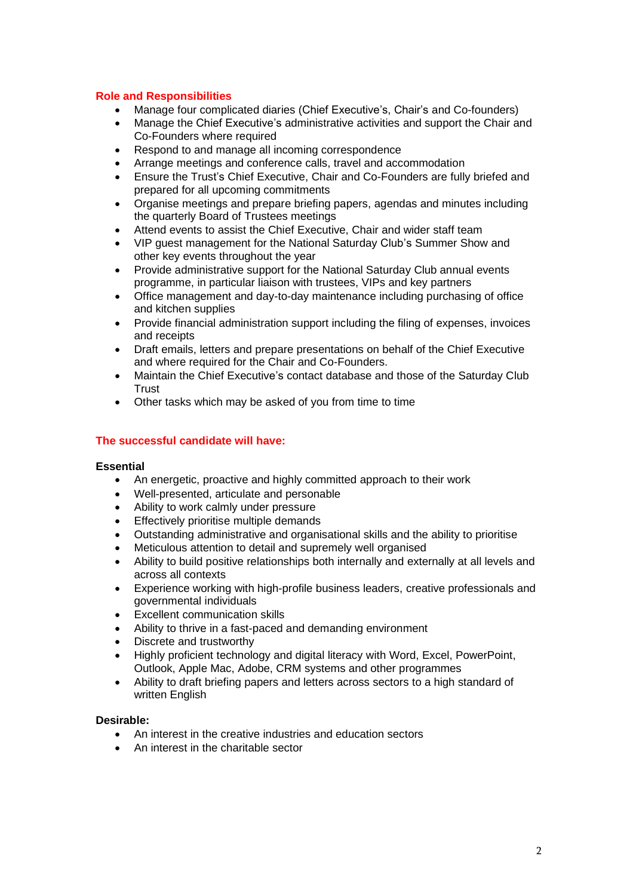## **Role and Responsibilities**

- Manage four complicated diaries (Chief Executive's, Chair's and Co-founders)
- Manage the Chief Executive's administrative activities and support the Chair and Co-Founders where required
- Respond to and manage all incoming correspondence
- Arrange meetings and conference calls, travel and accommodation
- Ensure the Trust's Chief Executive, Chair and Co-Founders are fully briefed and prepared for all upcoming commitments
- Organise meetings and prepare briefing papers, agendas and minutes including the quarterly Board of Trustees meetings
- Attend events to assist the Chief Executive, Chair and wider staff team
- VIP guest management for the National Saturday Club's Summer Show and other key events throughout the year
- Provide administrative support for the National Saturday Club annual events programme, in particular liaison with trustees, VIPs and key partners
- Office management and day-to-day maintenance including purchasing of office and kitchen supplies
- Provide financial administration support including the filing of expenses, invoices and receipts
- Draft emails, letters and prepare presentations on behalf of the Chief Executive and where required for the Chair and Co-Founders.
- Maintain the Chief Executive's contact database and those of the Saturday Club **Trust**
- Other tasks which may be asked of you from time to time

# **The successful candidate will have:**

## **Essential**

- An energetic, proactive and highly committed approach to their work
- Well-presented, articulate and personable
- Ability to work calmly under pressure
- Effectively prioritise multiple demands
- Outstanding administrative and organisational skills and the ability to prioritise
- Meticulous attention to detail and supremely well organised
- Ability to build positive relationships both internally and externally at all levels and across all contexts
- Experience working with high-profile business leaders, creative professionals and governmental individuals
- **Excellent communication skills**
- Ability to thrive in a fast-paced and demanding environment
- Discrete and trustworthy
- Highly proficient technology and digital literacy with Word, Excel, PowerPoint, Outlook, Apple Mac, Adobe, CRM systems and other programmes
- Ability to draft briefing papers and letters across sectors to a high standard of written English

## **Desirable:**

- An interest in the creative industries and education sectors
- An interest in the charitable sector